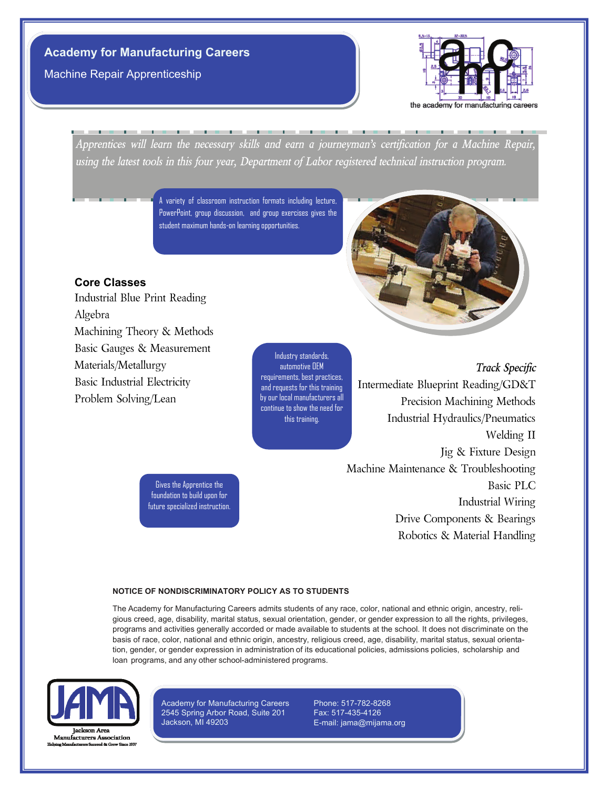# **Academy for Manufacturing Careers**

Machine Repair Apprenticeship



*Apprentices will learn the necessary skills and earn a journeyman's certification for a Machine Repair, using the latest tools in this four year, Department of Labor registered technical instruction program.*

> A variety of classroom instruction formats including lecture, PowerPoint, group discussion, and group exercises gives the student maximum hands-on learning opportunities.

### **Core Classes**

Industrial Blue Print Reading Algebra Machining Theory & Methods Basic Gauges & Measurement Materials/Metallurgy Basic Industrial Electricity Problem Solving/Lean



Industry standards, automotive OEM requirements, best practices, and requests for this training by our local manufacturers all continue to show the need for this training.

*Track Specific* Intermediate Blueprint Reading/GD&T Precision Machining Methods Industrial Hydraulics/Pneumatics Welding II Jig & Fixture Design Machine Maintenance & Troubleshooting Basic PLC Industrial Wiring Drive Components & Bearings Robotics & Material Handling

future specialized instruction.

Gives the Apprentice the foundation to build upon for

### **NOTICE OF NONDISCRIMINATORY POLICY AS TO STUDENTS**

The Academy for Manufacturing Careers admits students of any race, color, national and ethnic origin, ancestry, religious creed, age, disability, marital status, sexual orientation, gender, or gender expression to all the rights, privileges, programs and activities generally accorded or made available to students at the school. It does not discriminate on the basis of race, color, national and ethnic origin, ancestry, religious creed, age, disability, marital status, sexual orientation, gender, or gender expression in administration of its educational policies, admissions policies, scholarship and loan programs, and any other school-administered programs.



Academy for Manufacturing Careers 2545 Spring Arbor Road, Suite 201 Jackson, MI 49203

Phone: 517-782-8268 Fax: 517-435-4126 E-mail: jama@mijama.org